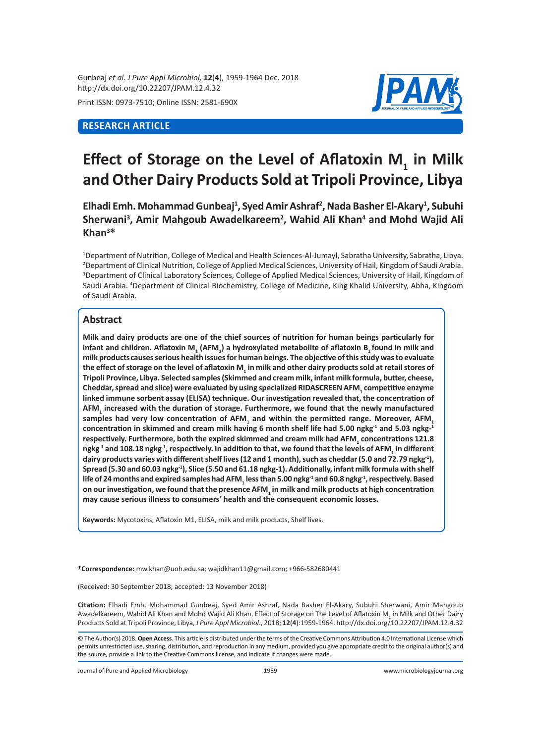Gunbeaj *et al. J Pure Appl Microbiol,* **12**(**4**), 1959-1964 Dec. 2018 http://dx.doi.org/10.22207/JPAM.12.4.32

Print ISSN: 0973-7510; Online ISSN: 2581-690X

# **RESEARCH ARTICLE**



# Effect of Storage on the Level of Aflatoxin M<sub>1</sub> in Milk **and Other Dairy Products Sold at Tripoli Province, Libya**

**Elhadi Emh. Mohammad Gunbeaj<sup>1</sup> , Syed Amir Ashraf<sup>2</sup> , Nada Basher El-Akary<sup>1</sup> , Subuhi Sherwani<sup>3</sup> , Amir Mahgoub Awadelkareem<sup>2</sup> , Wahid Ali Khan<sup>4</sup> and Mohd Wajid Ali Khan<sup>3</sup> \***

1 Department of Nutrition, College of Medical and Health Sciences-Al-Jumayl, Sabratha University, Sabratha, Libya. 2 Department of Clinical Nutrition, College of Applied Medical Sciences, University of Hail, Kingdom of Saudi Arabia. 3 Department of Clinical Laboratory Sciences, College of Applied Medical Sciences, University of Hail, Kingdom of Saudi Arabia. <sup>4</sup>Department of Clinical Biochemistry, College of Medicine, King Khalid University, Abha, Kingdom of Saudi Arabia.

## **Abstract**

**Milk and dairy products are one of the chief sources of nutrition for human beings particularly for infant and children. Aflatoxin M<sup>1</sup> (AFM<sup>1</sup> ) a hydroxylated metabolite of aflatoxin B1 found in milk and milk productscauses serious health issues for human beings. The objective of this study was to evaluate the effect of storage on the level of aflatoxin M<sup>1</sup> in milk and other dairy products sold at retail stores of Tripoli Province, Libya. Selected samples (Skimmed and cream milk, infant milk formula, butter, cheese, Cheddar, spread and slice) were evaluated by using specialized RIDASCREEN AFM<sup>1</sup> competitive enzyme linked immune sorbent assay (ELISA) technique. Our investigation revealed that, the concentration of AFM<sup>1</sup> increased with the duration of storage. Furthermore, we found that the newly manufactured**  samples had very low concentration of AFM<sub>1</sub> and within the permitted range. Moreover, AFM<sub>1</sub> **concentration in skimmed and cream milk having 6 month shelf life had 5.00 ngkg-1 and 5.03 ngkg-<sup>1</sup> respectively. Furthermore, both the expired skimmed and cream milk had AFM<sup>1</sup> concentrations 121.8 ngkg-1 and 108.18 ngkg-1, respectively. In addition to that, we found that the levels of AFM<sup>1</sup> in different dairy products varies with different shelf lives (12 and 1 month), such as cheddar (5.0 and 72.79 ngkg-1), Spread (5.30 and 60.03 ngkg-1), Slice (5.50 and 61.18 ngkg-1). Additionally, infant milk formula with shelf life of 24 months and expired samples had AFM<sup>1</sup> less than 5.00 ngkg-1 and 60.8 ngkg-1, respectively. Based on our investigation, we found that the presence AFM<sup>1</sup> in milk and milk products at high concentration may cause serious illness to consumers' health and the consequent economic losses.**

**Keywords:** Mycotoxins, Aflatoxin M1, ELISA, milk and milk products, Shelf lives.

**\*Correspondence:** mw.khan@uoh.edu.sa; wajidkhan11@gmail.com; +966-582680441

(Received: 30 September 2018; accepted: 13 November 2018)

**Citation:** Elhadi Emh. Mohammad Gunbeaj, Syed Amir Ashraf, Nada Basher El-Akary, Subuhi Sherwani, Amir Mahgoub Awadelkareem, Wahid Ali Khan and Mohd Wajid Ali Khan, Effect of Storage on The Level of Aflatoxin M<sub>1</sub> in Milk and Other Dairy Products Sold at Tripoli Province, Libya, *J Pure Appl Microbiol*., 2018; **12**(**4**):1959-1964. http://dx.doi.org/10.22207/JPAM.12.4.32

Journal of Pure and Applied Microbiology 1959 www.microbiologyjournal.org

<sup>©</sup> The Author(s) 2018. **Open Access**. This article is distributed under the terms of the Creative Commons Attribution 4.0 International License which permits unrestricted use, sharing, distribution, and reproduction in any medium, provided you give appropriate credit to the original author(s) and the source, provide a link to the Creative Commons license, and indicate if changes were made.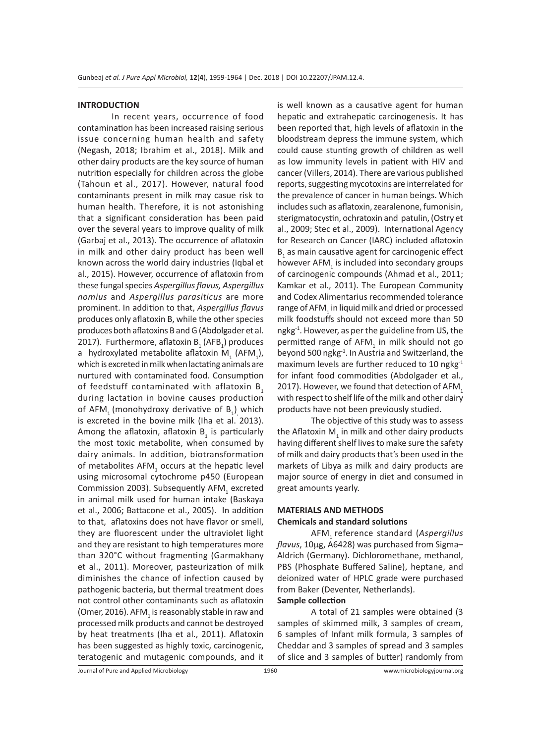#### **INTRODUCTION**

In recent years, occurrence of food contamination has been increased raising serious issue concerning human health and safety (Negash, 2018; Ibrahim et al., 2018). Milk and other dairy products are the key source of human nutrition especially for children across the globe (Tahoun et al., 2017). However, natural food contaminants present in milk may casue risk to human health. Therefore, it is not astonishing that a significant consideration has been paid over the several years to improve quality of milk (Garbaj et al., 2013). The occurrence of aflatoxin in milk and other dairy product has been well known across the world dairy industries (Iqbal et al., 2015). However, occurrence of aflatoxin from these fungal species *Aspergillus flavus, Aspergillus nomius* and *Aspergillus parasiticus* are more prominent. In addition to that, *Aspergillus flavus*  produces only aflatoxin B, while the other species produces both aflatoxins B and G (Abdolgader et al. 2017). Furthermore, aflatoxin  $B_1(AFB_1)$  produces a hydroxylated metabolite aflatoxin M<sub>1</sub> (AFM<sub>1</sub>), which is excreted in milk when lactating animals are nurtured with contaminated food. Consumption of feedstuff contaminated with aflatoxin B<sub>1</sub> during lactation in bovine causes production of AFM<sub>1</sub> (monohydroxy derivative of  $B_1$ )<sub>,</sub> which is excreted in the bovine milk (Iha et al. 2013). Among the aflatoxin, aflatoxin  $B_1$  is particularly the most toxic metabolite, when consumed by dairy animals. In addition, biotransformation of metabolites  $AFM<sub>1</sub>$  occurs at the hepatic level using microsomal cytochrome p450 (European Commission 2003). Subsequently  $AFM_1$  excreted in animal milk used for human intake (Baskaya et al., 2006; Battacone et al., 2005). In addition to that, aflatoxins does not have flavor or smell, they are fluorescent under the ultraviolet light and they are resistant to high temperatures more than 320°C without fragmenting (Garmakhany et al., 2011). Moreover, pasteurization of milk diminishes the chance of infection caused by pathogenic bacteria, but thermal treatment does not control other contaminants such as aflatoxin (Omer, 2016). AFM<sub>1</sub> is reasonably stable in raw and processed milk products and cannot be destroyed by heat treatments (Iha et al., 2011). Aflatoxin has been suggested as highly toxic, carcinogenic, teratogenic and mutagenic compounds, and it

is well known as a causative agent for human hepatic and extrahepatic carcinogenesis. It has been reported that, high levels of aflatoxin in the bloodstream depress the immune system, which could cause stunting growth of children as well as low immunity levels in patient with HIV and cancer (Villers, 2014). There are various published reports, suggesting mycotoxins are interrelated for the prevalence of cancer in human beings. Which includes such as aflatoxin, zearalenone, fumonisin, sterigmatocystin, ochratoxin and patulin, (Ostry et al., 2009; Stec et al., 2009). International Agency for Research on Cancer (IARC) included aflatoxin  $B_1$  as main causative agent for carcinogenic effect however  $AFM_{1}$  is included into secondary groups of carcinogenic compounds (Ahmad et al., 2011; Kamkar et al., 2011). The European Community and Codex Alimentarius recommended tolerance range of AFM $_{_{\rm 1}}$  in liquid milk and dried or processed milk foodstuffs should not exceed more than 50 ngkg<sup>-1</sup>. However, as per the guideline from US, the permitted range of AFM<sub>1</sub> in milk should not go beyond 500 ngkg-1. In Austria and Switzerland, the maximum levels are further reduced to 10 ngkg<sup>-1</sup> for infant food commodities (Abdolgader et al., 2017). However, we found that detection of AFM. with respect to shelf life of the milk and other dairy products have not been previously studied.

The objective of this study was to assess the Aflatoxin M<sub>1</sub> in milk and other dairy products having different shelf lives to make sure the safety of milk and dairy products that's been used in the markets of Libya as milk and dairy products are major source of energy in diet and consumed in great amounts yearly.

## **MATERIALS AND METHODS**

#### **Chemicals and standard solutions**

AFM1 reference standard (*Aspergillus flavus*, 10µg, A6428) was purchased from Sigma– Aldrich (Germany). Dichloromethane, methanol, PBS (Phosphate Buffered Saline), heptane, and deionized water of HPLC grade were purchased from Baker (Deventer, Netherlands).

## **Sample collection**

A total of 21 samples were obtained (3 samples of skimmed milk, 3 samples of cream, 6 samples of Infant milk formula, 3 samples of Cheddar and 3 samples of spread and 3 samples of slice and 3 samples of butter) randomly from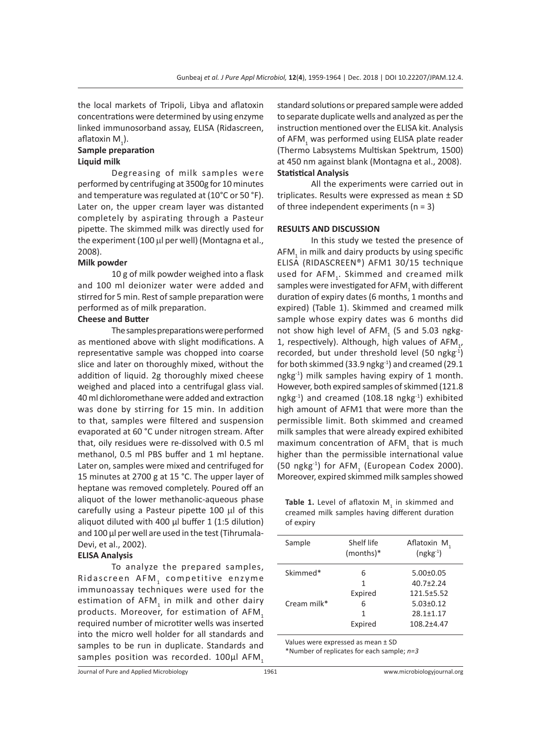the local markets of Tripoli, Libya and aflatoxin concentrations were determined by using enzyme linked immunosorband assay, ELISA (Ridascreen, aflatoxin  $M_{1}$ ).

#### **Sample preparation Liquid milk**

Degreasing of milk samples were performed by centrifuging at 3500g for 10 minutes and temperature was regulated at (10°C or 50 °F). Later on, the upper cream layer was distanted completely by aspirating through a Pasteur pipette. The skimmed milk was directly used for the experiment (100 µl per well) (Montagna et al., 2008).

#### **Milk powder**

10 g of milk powder weighed into a flask and 100 ml deionizer water were added and stirred for 5 min. Rest of sample preparation were performed as of milk preparation.

#### **Cheese and Butter**

The samples preparations were performed as mentioned above with slight modifications. A representative sample was chopped into coarse slice and later on thoroughly mixed, without the addition of liquid. 2g thoroughly mixed cheese weighed and placed into a centrifugal glass vial. 40 ml dichloromethane were added and extraction was done by stirring for 15 min. In addition to that, samples were filtered and suspension evaporated at 60 °C under nitrogen stream. After that, oily residues were re-dissolved with 0.5 ml methanol, 0.5 ml PBS buffer and 1 ml heptane. Later on, samples were mixed and centrifuged for 15 minutes at 2700 g at 15 °C. The upper layer of heptane was removed completely. Poured off an aliquot of the lower methanolic-aqueous phase carefully using a Pasteur pipette 100 µl of this aliquot diluted with 400  $\mu$ l buffer 1 (1:5 dilution) and 100 µl per well are used in the test (Tihrumala-Devi, et al., 2002).

#### **ELISA Analysis**

To analyze the prepared samples, Ridascreen AFM, competitive enzyme immunoassay techniques were used for the estimation of  $\mathsf{AFM}_1$  in milk and other dairy products. Moreover, for estimation of AFM, required number of microtiter wells was inserted into the micro well holder for all standards and samples to be run in duplicate. Standards and samples position was recorded. 100µl AFM,

standard solutions or prepared sample were added to separate duplicate wells and analyzed as per the instruction mentioned over the ELISA kit. Analysis of AFM<sub>1</sub> was performed using ELISA plate reader (Thermo Labsystems Multiskan Spektrum, 1500) at 450 nm against blank (Montagna et al., 2008). **Statistical Analysis**

All the experiments were carried out in triplicates. Results were expressed as mean ± SD of three independent experiments ( $n = 3$ )

#### **RESULTS AND DISCUSSION**

In this study we tested the presence of AFM<sub>1</sub> in milk and dairy products by using specific ELISA (RIDASCREEN®) AFM1 30/15 technique used for AFM<sub>1</sub>. Skimmed and creamed milk samples were investigated for AFM $_{_{\rm 1}}$  with different duration of expiry dates (6 months, 1 months and expired) (Table 1). Skimmed and creamed milk sample whose expiry dates was 6 months did not show high level of  $\mathsf{AFM}_{_1}$  (5 and 5.03 ngkg-1, respectively). Although, high values of  $AFM$ <sub>1</sub>, recorded, but under threshold level (50 ngkg-1) for both skimmed (33.9 ngkg<sup>-1</sup>) and creamed (29.1 ngkg-1) milk samples having expiry of 1 month. However, both expired samples of skimmed (121.8 ngkg-1) and creamed (108.18 ngkg-1) exhibited high amount of AFM1 that were more than the permissible limit. Both skimmed and creamed milk samples that were already expired exhibited maximum concentration of AFM<sub>1</sub> that is much higher than the permissible international value (50 ngkg<sup>-1</sup>) for AFM<sub>1</sub> (European Codex 2000). Moreover, expired skimmed milk samples showed

**Table 1.** Level of aflatoxin  $M<sub>1</sub>$  in skimmed and creamed milk samples having different duration of expiry

| Sample         | Shelf life<br>$(months)*$ | Aflatoxin M,<br>$(ngkg-1)$ |
|----------------|---------------------------|----------------------------|
| Skimmed*       | 6                         | $5.00 \pm 0.05$            |
|                | 1                         | $40.7 + 2.24$              |
|                | Expired                   | $121.5 + 5.52$             |
| Cream milk $*$ | 6                         | $5.03 \pm 0.12$            |
|                | 1                         | $28.1 \pm 1.17$            |
|                | Expired                   | $108.2 + 4.47$             |
|                |                           |                            |

Values were expressed as mean ± SD \*Number of replicates for each sample; *n=3*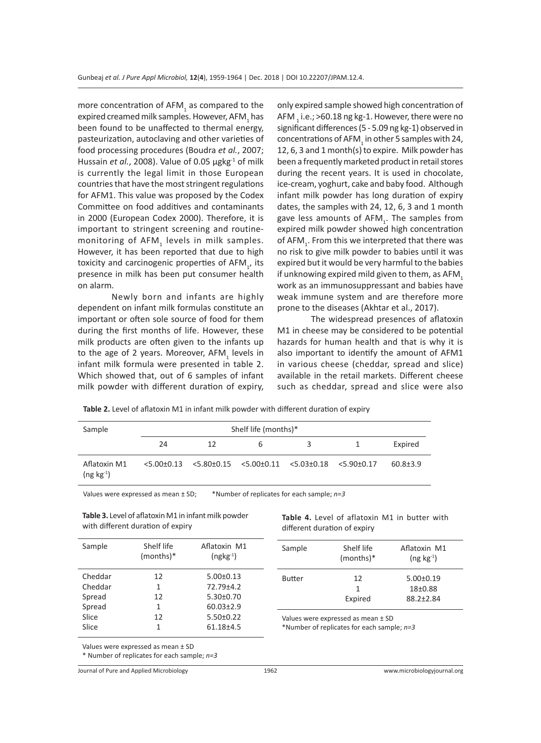more concentration of  $AFM<sub>1</sub>$  as compared to the expired creamed milk samples. However, AFM<sub>1</sub> has been found to be unaffected to thermal energy, pasteurization, autoclaving and other varieties of food processing procedures (Boudra *et al.*, 2007; Hussain *et al.*, 2008). Value of 0.05 µgkg<sup>-1</sup> of milk is currently the legal limit in those European countries that have the most stringent regulations for AFM1. This value was proposed by the Codex Committee on food additives and contaminants in 2000 (European Codex 2000). Therefore, it is important to stringent screening and routinemonitoring of AFM<sub>1</sub> levels in milk samples. However, it has been reported that due to high toxicity and carcinogenic properties of  $AFM_{1}$ , its presence in milk has been put consumer health on alarm.

Newly born and infants are highly dependent on infant milk formulas constitute an important or often sole source of food for them during the first months of life. However, these milk products are often given to the infants up to the age of 2 years. Moreover,  $AFM_1$  levels in infant milk formula were presented in table 2. Which showed that, out of 6 samples of infant milk powder with different duration of expiry,

only expired sample showed high concentration of AFM  $_{\textrm{\tiny{\textrm{1}}}}$  i.e.; >60.18 ng kg-1. However, there were no significant differences (5 - 5.09 ng kg-1) observed in concentrations of AFM $_{\textrm{\tiny{1}}}$  in other 5 samples with 24, 12, 6, 3 and 1 month(s) to expire. Milk powder has been a frequently marketed product in retail stores during the recent years. It is used in chocolate, ice-cream, yoghurt, cake and baby food. Although infant milk powder has long duration of expiry dates, the samples with 24, 12, 6, 3 and 1 month gave less amounts of  $AFM_i$ . The samples from expired milk powder showed high concentration of AFM<sub>1</sub>. From this we interpreted that there was no risk to give milk powder to babies until it was expired but it would be very harmful to the babies if unknowing expired mild given to them, as AFM, work as an immunosuppressant and babies have weak immune system and are therefore more prone to the diseases (Akhtar et al., 2017).

The widespread presences of aflatoxin M1 in cheese may be considered to be potential hazards for human health and that is why it is also important to identify the amount of AFM1 in various cheese (cheddar, spread and slice) available in the retail markets. Different cheese such as cheddar, spread and slice were also

|  |  |  |  | Table 2. Level of aflatoxin M1 in infant milk powder with different duration of expiry |  |  |
|--|--|--|--|----------------------------------------------------------------------------------------|--|--|
|  |  |  |  |                                                                                        |  |  |

| Sample                              | Shelf life (months)* |                                                                       |   |   |  |                |  |  |
|-------------------------------------|----------------------|-----------------------------------------------------------------------|---|---|--|----------------|--|--|
|                                     | 24                   | 12                                                                    | h | ₹ |  | Expired        |  |  |
| Aflatoxin M1<br>$($ ng kg $^{-1}$ ) |                      | $5.00\pm0.13$ $5.80\pm0.15$ $5.00\pm0.11$ $5.03\pm0.18$ $5.90\pm0.17$ |   |   |  | $60.8 \pm 3.9$ |  |  |

Values were expressed as mean ± SD; \*Number of replicates for each sample; *n=3*

**Table 3.** Level of aflatoxin M1 in infant milk powder with different duration of expiry

**Table 4.** Level of aflatoxin M1 in butter with different duration of expiry

| Sample  | Shelf life<br>(months)* | Aflatoxin M1<br>$(ngkg-1)$ | Sample                                                                           | Shelf life<br>$(months)*$ | Aflatoxin M1<br>$($ ng kg $^{-1}$ ) |  |  |  |
|---------|-------------------------|----------------------------|----------------------------------------------------------------------------------|---------------------------|-------------------------------------|--|--|--|
| Cheddar | 12                      | $5.00 \pm 0.13$            | <b>Butter</b>                                                                    | 12                        | $5.00 \pm 0.19$                     |  |  |  |
| Cheddar |                         | $72.79 \pm 4.2$            |                                                                                  | 1                         | $18+0.88$                           |  |  |  |
| Spread  | 12                      | $5.30\pm0.70$              |                                                                                  | Expired                   | $88.2 \pm 2.84$                     |  |  |  |
| Spread  |                         | $60.03 \pm 2.9$            |                                                                                  |                           |                                     |  |  |  |
| Slice   | 12                      | $5.50\pm0.22$              | Values were expressed as mean ± SD<br>*Number of replicates for each sample; n=3 |                           |                                     |  |  |  |
| Slice   |                         | $61.18 + 4.5$              |                                                                                  |                           |                                     |  |  |  |
|         |                         |                            |                                                                                  |                           |                                     |  |  |  |

Values were expressed as mean ± SD

\* Number of replicates for each sample; *n=3*

Journal of Pure and Applied Microbiology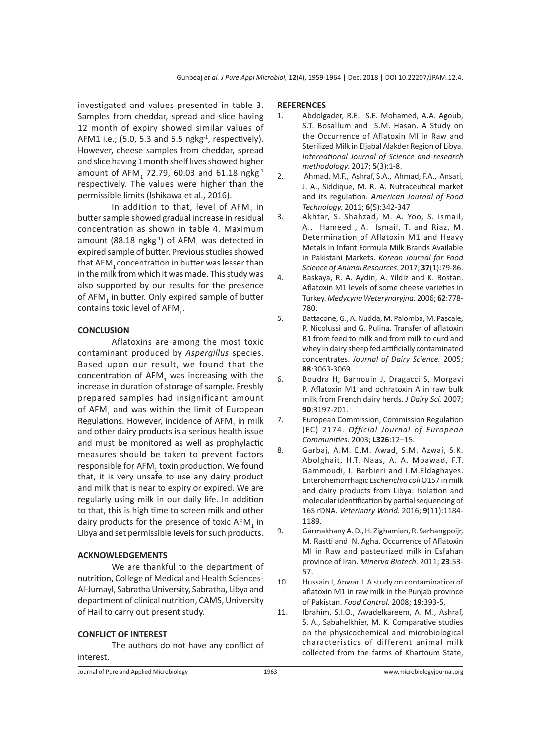investigated and values presented in table 3. Samples from cheddar, spread and slice having 12 month of expiry showed similar values of AFM1 i.e.; (5.0, 5.3 and 5.5 ngkg $^{-1}$ , respectively). However, cheese samples from cheddar, spread and slice having 1month shelf lives showed higher amount of AFM<sub>1</sub> 72.79, 60.03 and 61.18 ngkg<sup>-1</sup> respectively. The values were higher than the permissible limits (Ishikawa et al., 2016).

In addition to that, level of  $\mathsf{AFM}_{\mathbf{1}}$  in butter sample showed gradual increase in residual concentration as shown in table 4. Maximum amount (88.18 ngkg<sup>-1</sup>) of AFM<sub>1</sub> was detected in expired sample of butter. Previous studies showed that AFM<sub>1</sub> concentration in butter was lesser than in the milk from which it was made. This study was also supported by our results for the presence of AFM<sub>1</sub> in butter. Only expired sample of butter contains toxic level of  $AFM_{1}$ .

## **CONCLUSION**

Aflatoxins are among the most toxic contaminant produced by *Aspergillus* species. Based upon our result, we found that the concentration of  $AFM<sub>1</sub>$  was increasing with the increase in duration of storage of sample. Freshly prepared samples had insignificant amount of AFM<sub>1</sub> and was within the limit of European Regulations. However, incidence of  $\mathsf{AFM}_1$  in milk and other dairy products is a serious health issue and must be monitored as well as prophylactic measures should be taken to prevent factors responsible for AFM<sub>1</sub> toxin production. We found that, it is very unsafe to use any dairy product and milk that is near to expiry or expired. We are regularly using milk in our daily life. In addition to that, this is high time to screen milk and other dairy products for the presence of toxic AFM<sub>1</sub> in Libya and set permissible levels for such products.

#### **ACKNOWLEDGEMENTS**

We are thankful to the department of nutrition, College of Medical and Health Sciences-Al-Jumayl, Sabratha University, Sabratha, Libya and department of clinical nutrition, CAMS, University of Hail to carry out present study.

#### **CONFLICT OF INTEREST**

The authors do not have any conflict of interest.

#### **REFERENCES**

- 1. Abdolgader, R.E. S.E. Mohamed, A.A. Agoub, S.T. Bosallum and S.M. Hasan. A Study on the Occurrence of Aflatoxin Ml in Raw and Sterilized Milk in Eljabal Alakder Region of Libya. *International Journal of Science and research methodology.* 2017; **5**(3):1-8.
- 2. Ahmad, M.F., Ashraf, S.A., Ahmad, F.A., Ansari, J. A., Siddique, M. R. A. Nutraceutical market and its regulation. *American Journal of Food Technology.* 2011; **6**(5):342-347
- 3. Akhtar, S. Shahzad, M. A. Yoo, S. Ismail, A., Hameed , A. Ismail, T. and Riaz, M. Determination of Aflatoxin M1 and Heavy Metals in Infant Formula Milk Brands Available in Pakistani Markets. *Korean Journal for Food Science of Animal Resources.* 2017; **37**(1):79-86.
- 4. Baskaya, R. A. Aydin, A. Yildiz and K. Bostan. Aflatoxin M1 levels of some cheese varieties in Turkey. *Medycyna Weterynaryjna.* 2006; **62**:778- 780.
- 5. Battacone, G., A. Nudda, M. Palomba, M. Pascale, P. Nicolussi and G. Pulina. Transfer of aflatoxin B1 from feed to milk and from milk to curd and whey in dairy sheep fed artificially contaminated concentrates. *Journal of Dairy Science.* 2005; **88**:3063-3069.
- 6. Boudra H, Barnouin J, Dragacci S, Morgavi P. Aflatoxin M1 and ochratoxin A in raw bulk milk from French dairy herds. *J Dairy Sci.* 2007; **90**:3197-201.
- 7. European Commission, Commission Regulation (EC) 2174. *Official Journal of European Communities.* 2003; **L326**:12–15.
- 8. Garbaj, A.M. E.M. Awad, S.M. Azwai, S.K. Abolghait, H.T. Naas, A. A. Moawad, F.T. Gammoudi, I. Barbieri and I.M.Eldaghayes. Enterohemorrhagic *Escherichia coli* O157 in milk and dairy products from Libya: Isolation and molecular identification by partial sequencing of 16S rDNA. *Veterinary World.* 2016; **9**(11):1184- 1189.
- 9. Garmakhany A. D., H. Zighamian, R. Sarhangpoijr, M. Rastti and N. Agha. Occurrence of Aflatoxin Ml in Raw and pasteurized milk in Esfahan province of Iran. *Minerva Biotech.* 2011; **23**:53- 57.
- 10. Hussain I, Anwar J. A study on contamination of aflatoxin M1 in raw milk in the Punjab province of Pakistan. *Food Control.* 2008; **19**:393-5.
- 11. Ibrahim, S.I.O., Awadelkareem, A. M., Ashraf, S. A., Sabahelkhier, M. K. Comparative studies on the physicochemical and microbiological characteristics of different animal milk collected from the farms of Khartoum State,